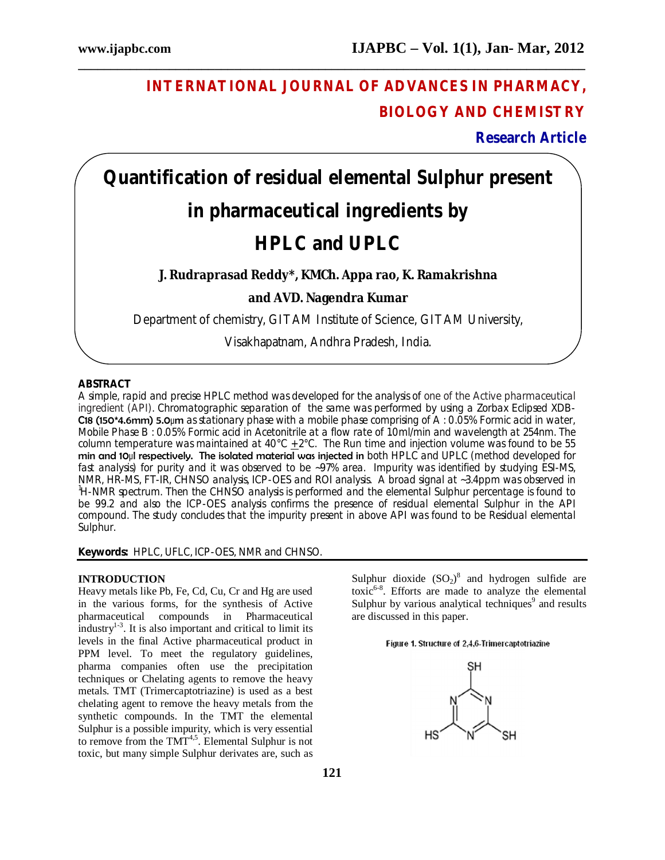# **INTERNATIONAL JOURNAL OF ADVANCES IN PHARMACY, BIOLOGY AND CHEMISTRY**

**Research Article**

# **Quantification of residual elemental Sulphur present**

**\_\_\_\_\_\_\_\_\_\_\_\_\_\_\_\_\_\_\_\_\_\_\_\_\_\_\_\_\_\_\_\_\_\_\_\_\_\_\_\_\_\_\_\_\_\_\_\_\_\_\_\_\_\_\_\_\_\_\_\_\_\_\_\_\_\_\_\_\_\_\_\_\_\_\_\_\_\_**

# **in pharmaceutical ingredients by**

# **HPLC and UPLC**

# **J. Rudraprasad Reddy\*, KMCh. Appa rao, K. Ramakrishna**

**and AVD. Nagendra Kumar**

Department of chemistry, GITAM Institute of Science, GITAM University,

Visakhapatnam, Andhra Pradesh, India.

## **ABSTRACT**

A simple, rapid and precise HPLC method was developed for the analysis of one of the Active pharmaceutical ingredient (API). Chromatographic separation of the same was performed by using a Zorbax Eclipsed XDB-C18 (150\*4.6mm) 5.0µm as stationary phase with a mobile phase comprising of A : 0.05% Formic acid in water, Mobile Phase B : 0.05% Formic acid in Acetonitrile at a flow rate of 1.0ml/min and wavelength at 254nm. The column temperature was maintained at  $40^{\circ}$ C + 2 $^{\circ}$ C. The Run time and injection volume was found to be 55 min and 10µl respectively. The isolated material was injected in both HPLC and UPLC (method developed for fast analysis) for purity and it was observed to be ~97% area. Impurity was identified by studying ESI-MS, NMR, HR-MS, FT-IR, CHNSO analysis, ICP-OES and ROI analysis. A broad signal at ~3.4ppm was observed in <sup>1</sup>H-NMR spectrum. Then the CHNSO analysis is performed and the elemental Sulphur percentage is found to be 99.2 and also the ICP-OES analysis confirms the presence of residual elemental Sulphur in the API compound. The study concludes that the impurity present in above API was found to be Residual elemental Sulphur.

# **Keywords:** HPLC, UFLC, ICP-OES, NMR and CHNSO.

### **INTRODUCTION**

Heavy metals like Pb, Fe, Cd, Cu, Cr and Hg are used in the various forms, for the synthesis of Active pharmaceutical compounds in Pharmaceutical  $\frac{1}{2}$ industry<sup>1-3</sup>. It is also important and critical to limit its levels in the final Active pharmaceutical product in PPM level. To meet the regulatory guidelines, pharma companies often use the precipitation techniques or Chelating agents to remove the heavy metals. TMT (Trimercaptotriazine) is used as a best chelating agent to remove the heavy metals from the synthetic compounds. In the TMT the elemental Sulphur is a possible impurity, which is very essential to remove from the  $TMT^{4,5}$ . Elemental Sulphur is not toxic, but many simple Sulphur derivates are, such as

Sulphur dioxide  $(SO_2)^8$  and hydrogen sulfide are toxic $6-8$ . Efforts are made to analyze the elemental Sulphur by various analytical techniques<sup>9</sup> and results are discussed in this paper.

#### Figure 1. Structure of 2,4,6-Trimercaptotriazine

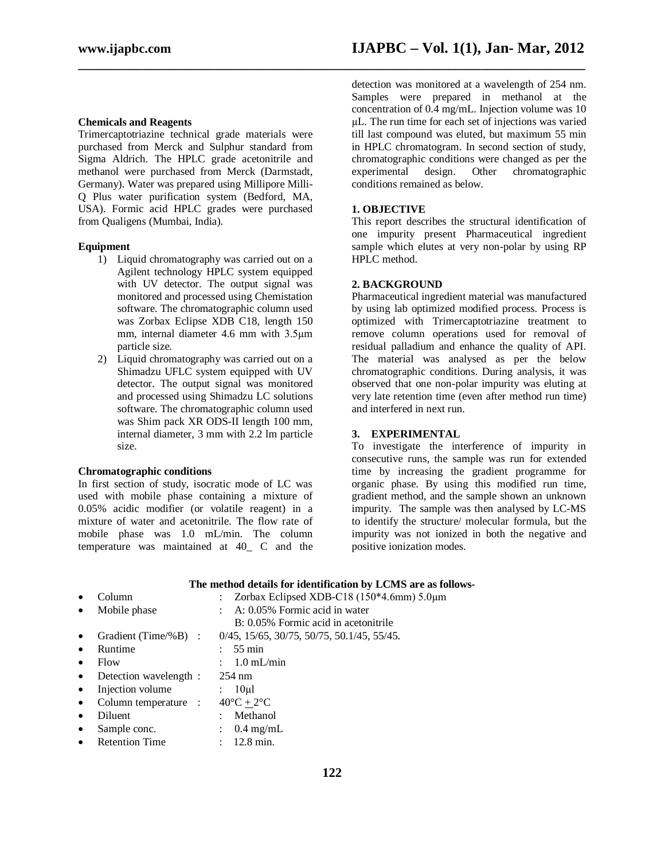#### **Chemicals and Reagents**

Trimercaptotriazine technical grade materials were purchased from Merck and Sulphur standard from Sigma Aldrich. The HPLC grade acetonitrile and methanol were purchased from Merck (Darmstadt, Germany). Water was prepared using Millipore Milli-Q Plus water purification system (Bedford, MA, USA). Formic acid HPLC grades were purchased from Qualigens (Mumbai, India).

#### **Equipment**

- 1) Liquid chromatography was carried out on a Agilent technology HPLC system equipped with UV detector. The output signal was monitored and processed using Chemistation software. The chromatographic column used was Zorbax Eclipse XDB C18, length 150 mm, internal diameter 4.6 mm with 3.5µm particle size.
- 2) Liquid chromatography was carried out on a Shimadzu UFLC system equipped with UV detector. The output signal was monitored and processed using Shimadzu LC solutions software. The chromatographic column used was Shim pack XR ODS-II length 100 mm, internal diameter, 3 mm with 2.2 lm particle size.

#### **Chromatographic conditions**

In first section of study, isocratic mode of LC was used with mobile phase containing a mixture of 0.05% acidic modifier (or volatile reagent) in a mixture of water and acetonitrile. The flow rate of mobile phase was 1.0 mL/min. The column temperature was maintained at 40\_ C and the

detection was monitored at a wavelength of 254 nm. Samples were prepared in methanol at the concentration of 0.4 mg/mL. Injection volume was 10 µL. The run time for each set of injections was varied till last compound was eluted, but maximum 55 min in HPLC chromatogram. In second section of study, chromatographic conditions were changed as per the experimental design. Other chromatographic conditions remained as below.

#### **1. OBJECTIVE**

**\_\_\_\_\_\_\_\_\_\_\_\_\_\_\_\_\_\_\_\_\_\_\_\_\_\_\_\_\_\_\_\_\_\_\_\_\_\_\_\_\_\_\_\_\_\_\_\_\_\_\_\_\_\_\_\_\_\_\_\_\_\_\_\_\_\_\_\_\_\_\_\_\_\_\_\_\_\_**

This report describes the structural identification of one impurity present Pharmaceutical ingredient sample which elutes at very non-polar by using RP HPLC method.

#### **2. BACKGROUND**

Pharmaceutical ingredient material was manufactured by using lab optimized modified process. Process is optimized with Trimercaptotriazine treatment to remove column operations used for removal of residual palladium and enhance the quality of API. The material was analysed as per the below chromatographic conditions. During analysis, it was observed that one non-polar impurity was eluting at very late retention time (even after method run time) and interfered in next run.

#### **3. EXPERIMENTAL**

To investigate the interference of impurity in consecutive runs, the sample was run for extended time by increasing the gradient programme for organic phase. By using this modified run time, gradient method, and the sample shown an unknown impurity. The sample was then analysed by LC-MS to identify the structure/ molecular formula, but the impurity was not ionized in both the negative and positive ionization modes.

|                        | The include actually for recutational by ECNID are as follows- |
|------------------------|----------------------------------------------------------------|
| Column                 | Zorbax Eclipsed XDB-C18 (150 $*4.6$ mm) 5.0 $\mu$ m            |
| Mobile phase           | A: 0.05% Formic acid in water                                  |
|                        | B: 0.05% Formic acid in acetonitrile                           |
| Gradient (Time/%B) :   | $0/45$ , 15/65, 30/75, 50/75, 50.1/45, 55/45.                  |
| Runtime                | $55 \text{ min}$                                               |
| Flow                   | $1.0 \text{ mL/min}$                                           |
| Detection wavelength : | $254 \text{ nm}$                                               |
| Injection volume       | 10 <sub>u</sub>                                                |
| Column temperature :   | $40^{\circ}C + 2^{\circ}C$                                     |
| Diluent                | Methanol                                                       |
| Sample conc.           | $0.4 \text{ mg/mL}$                                            |
| <b>Retention Time</b>  | $12.8 \text{ min.}$                                            |

#### **The method details for identification by LCMS are as follows-**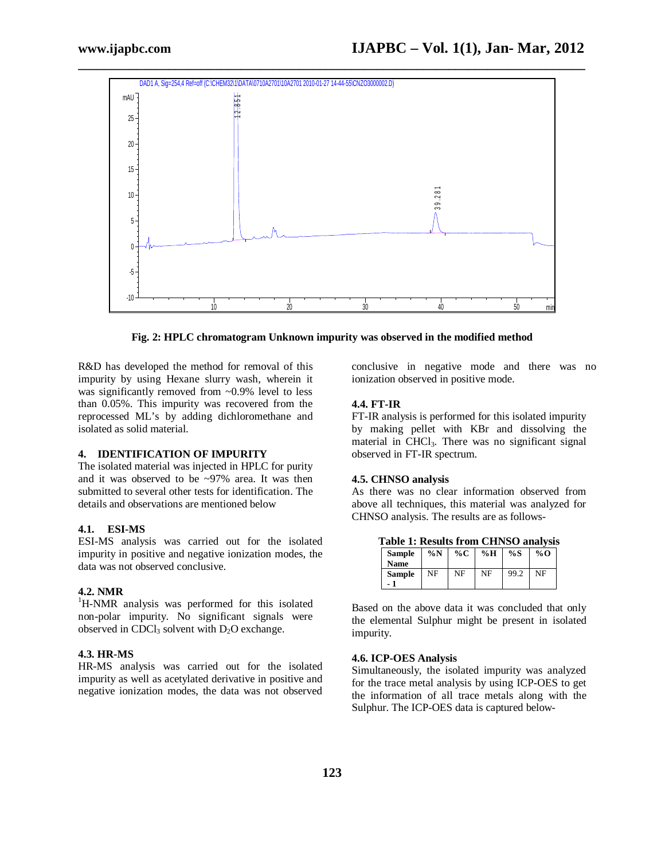

**Fig. 2: HPLC chromatogram Unknown impurity was observed in the modified method**

R&D has developed the method for removal of this impurity by using Hexane slurry wash, wherein it was significantly removed from ~0.9% level to less than 0.05%. This impurity was recovered from the reprocessed ML's by adding dichloromethane and isolated as solid material.

#### **4. IDENTIFICATION OF IMPURITY**

The isolated material was injected in HPLC for purity and it was observed to be ~97% area. It was then submitted to several other tests for identification. The details and observations are mentioned below

#### **4.1. ESI-MS**

ESI-MS analysis was carried out for the isolated impurity in positive and negative ionization modes, the data was not observed conclusive.

# **4.2. NMR**

<sup>1</sup>H-NMR analysis was performed for this isolated non-polar impurity. No significant signals were observed in CDCl<sub>3</sub> solvent with  $D_2O$  exchange.

#### **4.3. HR-MS**

HR-MS analysis was carried out for the isolated impurity as well as acetylated derivative in positive and negative ionization modes, the data was not observed conclusive in negative mode and there was no ionization observed in positive mode.

#### **4.4. FT-IR**

FT-IR analysis is performed for this isolated impurity by making pellet with KBr and dissolving the material in CHCl<sub>3</sub>. There was no significant signal observed in FT-IR spectrum.

#### **4.5. CHNSO analysis**

As there was no clear information observed from above all techniques, this material was analyzed for CHNSO analysis. The results are as follows-

**Table 1: Results from CHNSO analysis**

| <b>Sample</b>        | $\%N$ | %C | %H | %S   | $\%$ O |
|----------------------|-------|----|----|------|--------|
| <b>Name</b>          |       |    |    |      |        |
| <b>Sample</b><br>- 7 | NF    | NF | NF | 99.2 | NF     |

Based on the above data it was concluded that only the elemental Sulphur might be present in isolated impurity.

#### **4.6. ICP-OES Analysis**

Simultaneously, the isolated impurity was analyzed for the trace metal analysis by using ICP-OES to get the information of all trace metals along with the Sulphur. The ICP-OES data is captured below-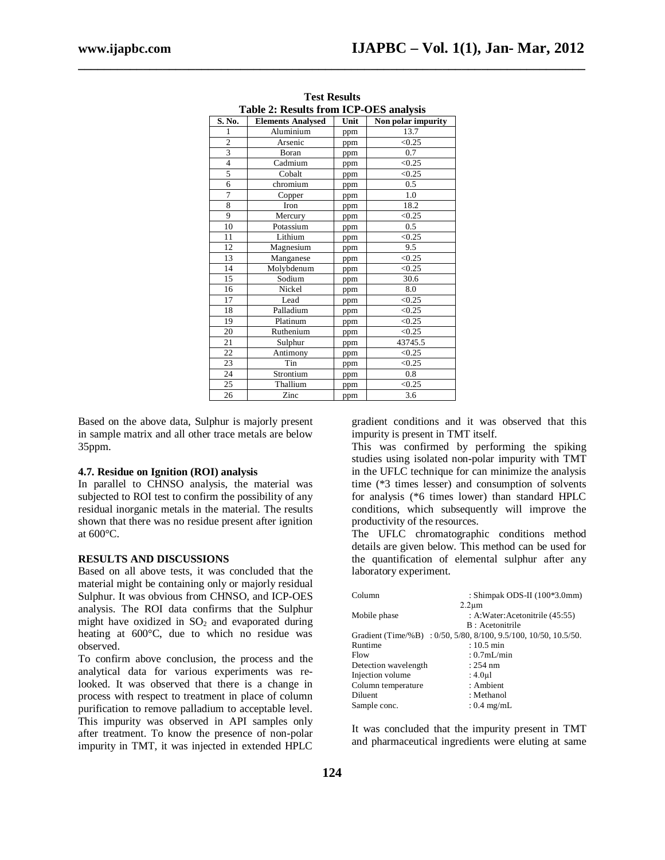| <b>Table 2: Results from ICP-OES analysis</b> |                          |      |                    |  |  |  |  |
|-----------------------------------------------|--------------------------|------|--------------------|--|--|--|--|
| S. No.                                        | <b>Elements Analysed</b> | Unit | Non polar impurity |  |  |  |  |
| 1                                             | Aluminium                | ppm  | 13.7               |  |  |  |  |
| $\overline{c}$                                | Arsenic                  | ppm  | < 0.25             |  |  |  |  |
| 3                                             | Boran                    | ppm  | 0.7                |  |  |  |  |
| $\overline{4}$                                | Cadmium                  | ppm  | < 0.25             |  |  |  |  |
| 5                                             | Cobalt                   | ppm  | < 0.25             |  |  |  |  |
| 6                                             | chromium                 | ppm  | $0.5^{\circ}$      |  |  |  |  |
| 7                                             | Copper                   | ppm  | 1.0                |  |  |  |  |
| 8                                             | Iron                     | ppm  | 18.2               |  |  |  |  |
| 9                                             | Mercury                  | ppm  | < 0.25             |  |  |  |  |
| 10                                            | Potassium                | ppm  | 0.5                |  |  |  |  |
| 11                                            | Lithium                  | ppm  | < 0.25             |  |  |  |  |
| 12                                            | Magnesium                | ppm  | 9.5                |  |  |  |  |
| 13                                            | Manganese                | ppm  | < 0.25             |  |  |  |  |
| 14                                            | Molybdenum               | ppm  | < 0.25             |  |  |  |  |
| 15                                            | Sodium                   | ppm  | 30.6               |  |  |  |  |
| 16                                            | Nickel                   | ppm  | 8.0                |  |  |  |  |
| 17                                            | Lead                     | ppm  | < 0.25             |  |  |  |  |
| 18                                            | Palladium                | ppm  | < 0.25             |  |  |  |  |
| 19                                            | Platinum                 | ppm  | < 0.25             |  |  |  |  |
| 20                                            | Ruthenium                | ppm  | < 0.25             |  |  |  |  |
| 21                                            | Sulphur                  | ppm  | 43745.5            |  |  |  |  |
| 22                                            | Antimony                 | ppm  | < 0.25             |  |  |  |  |
| 23                                            | Tin                      | ppm  | < 0.25             |  |  |  |  |
| 24                                            | Strontium                | ppm  | 0.8                |  |  |  |  |
| 25                                            | Thallium                 | ppm  | < 0.25             |  |  |  |  |
| 26                                            | Zinc                     | ppm  | 3.6                |  |  |  |  |

**Test Results**

**\_\_\_\_\_\_\_\_\_\_\_\_\_\_\_\_\_\_\_\_\_\_\_\_\_\_\_\_\_\_\_\_\_\_\_\_\_\_\_\_\_\_\_\_\_\_\_\_\_\_\_\_\_\_\_\_\_\_\_\_\_\_\_\_\_\_\_\_\_\_\_\_\_\_\_\_\_\_**

Based on the above data, Sulphur is majorly present in sample matrix and all other trace metals are below 35ppm.

#### **4.7. Residue on Ignition (ROI) analysis**

In parallel to CHNSO analysis, the material was subjected to ROI test to confirm the possibility of any residual inorganic metals in the material. The results shown that there was no residue present after ignition at 600°C.

#### **RESULTS AND DISCUSSIONS**

Based on all above tests, it was concluded that the material might be containing only or majorly residual Sulphur. It was obvious from CHNSO, and ICP-OES analysis. The ROI data confirms that the Sulphur might have oxidized in  $SO<sub>2</sub>$  and evaporated during heating at 600°C, due to which no residue was observed.

To confirm above conclusion, the process and the analytical data for various experiments was relooked. It was observed that there is a change in process with respect to treatment in place of column purification to remove palladium to acceptable level. This impurity was observed in API samples only after treatment. To know the presence of non-polar impurity in TMT, it was injected in extended HPLC

gradient conditions and it was observed that this impurity is present in TMT itself.

This was confirmed by performing the spiking studies using isolated non-polar impurity with TMT in the UFLC technique for can minimize the analysis time (\*3 times lesser) and consumption of solvents for analysis (\*6 times lower) than standard HPLC conditions, which subsequently will improve the productivity of the resources.

The UFLC chromatographic conditions method details are given below. This method can be used for the quantification of elemental sulphur after any laboratory experiment.

| Column               | : Shimpak ODS-II (100*3.0mm)                                     |
|----------------------|------------------------------------------------------------------|
|                      | $2.2 \mu m$                                                      |
| Mobile phase         | : A:Water:Acetonitrile (45:55)                                   |
|                      | B: Acetonitrile                                                  |
|                      | Gradient (Time/%B) : 0/50, 5/80, 8/100, 9.5/100, 10/50, 10.5/50. |
| Runtime              | $: 10.5$ min                                                     |
| Flow                 | : $0.7$ mL/min                                                   |
| Detection wavelength | $: 254 \text{ nm}$                                               |
| Injection volume     | : $4.0 \mu$                                                      |
| Column temperature   | : Ambient                                                        |
| Diluent              | : Methanol                                                       |
| Sample conc.         | : $0.4 \text{ mg/mL}$                                            |

It was concluded that the impurity present in TMT and pharmaceutical ingredients were eluting at same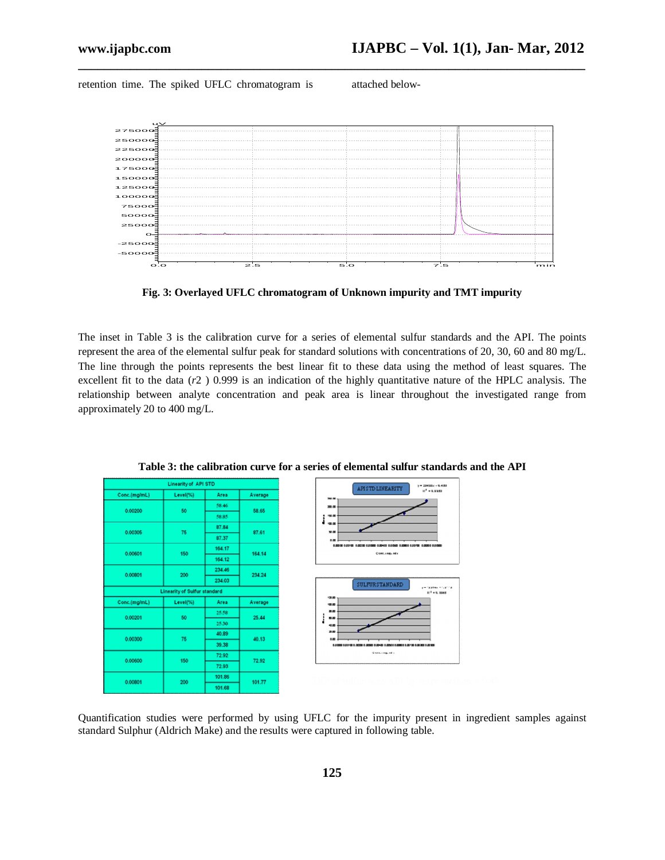retention time. The spiked UFLC chromatogram is attached below-



**\_\_\_\_\_\_\_\_\_\_\_\_\_\_\_\_\_\_\_\_\_\_\_\_\_\_\_\_\_\_\_\_\_\_\_\_\_\_\_\_\_\_\_\_\_\_\_\_\_\_\_\_\_\_\_\_\_\_\_\_\_\_\_\_\_\_\_\_\_\_\_\_\_\_\_\_\_\_**

**Fig. 3: Overlayed UFLC chromatogram of Unknown impurity and TMT impurity**

The inset in Table 3 is the calibration curve for a series of elemental sulfur standards and the API. The points represent the area of the elemental sulfur peak for standard solutions with concentrations of 20, 30, 60 and 80 mg/L. The line through the points represents the best linear fit to these data using the method of least squares. The excellent fit to the data (*r*2 ) 0.999 is an indication of the highly quantitative nature of the HPLC analysis. The relationship between analyte concentration and peak area is linear throughout the investigated range from approximately 20 to 400 mg/L.

|              | <b>Linearity of API STD</b>         |        |         |
|--------------|-------------------------------------|--------|---------|
| Conc.(mg/mL) | Level(%)                            | Area   | Average |
| 0.00200      | 50                                  | 58.46  | 58.65   |
|              |                                     | 58.85  |         |
|              |                                     | 87.84  |         |
| 0.00305      | 75                                  | 87.37  | 87.61   |
|              |                                     | 164.17 |         |
| 0.00601      | 150                                 | 164.12 | 164.14  |
|              |                                     | 234.46 |         |
| 0.00901      | 200                                 | 234.03 | 234.24  |
|              | <b>Linearity of Sulfur standard</b> |        |         |
| Conc.(mg/mL) | Level(%)                            | Area   | Average |
|              |                                     | 25.58  |         |
| 0.00201      | 50                                  |        | 25.44   |
|              |                                     | 25:30  |         |
| 0.00300      | 75                                  | 40.89  | 40.13   |
|              |                                     | 39.38  |         |
| 0.00600      | 150                                 | 72.92  | 72.92   |
|              |                                     | 72.93  |         |
| 0.00801      | 200                                 | 101.86 | 101.77  |
|              |                                     | 101.68 |         |

**Table 3: the calibration curve for a series of elemental sulfur standards and the API**

Quantification studies were performed by using UFLC for the impurity present in ingredient samples against standard Sulphur (Aldrich Make) and the results were captured in following table.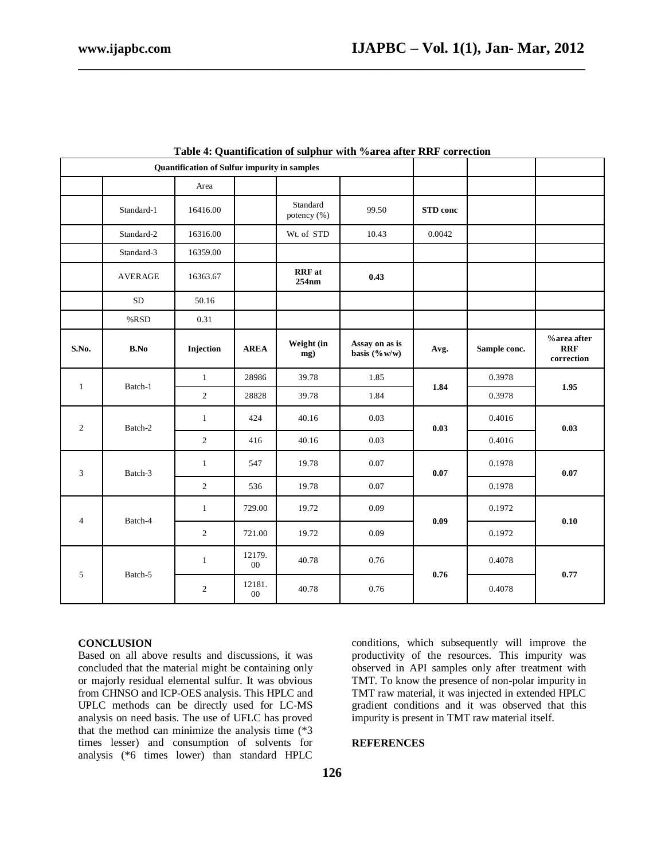| Quantification of Sulfur impurity in samples |                |                  |                  |                         |                                    |                 |              |                                         |
|----------------------------------------------|----------------|------------------|------------------|-------------------------|------------------------------------|-----------------|--------------|-----------------------------------------|
|                                              |                | Area             |                  |                         |                                    |                 |              |                                         |
|                                              | Standard-1     | 16416.00         |                  | Standard<br>potency (%) | 99.50                              | <b>STD</b> conc |              |                                         |
|                                              | Standard-2     | 16316.00         |                  | Wt. of STD              | 10.43                              | 0.0042          |              |                                         |
|                                              | Standard-3     | 16359.00         |                  |                         |                                    |                 |              |                                         |
|                                              | <b>AVERAGE</b> | 16363.67         |                  | <b>RRF</b> at<br>254nm  | 0.43                               |                 |              |                                         |
|                                              | $\rm SD$       | 50.16            |                  |                         |                                    |                 |              |                                         |
|                                              | %RSD           | 0.31             |                  |                         |                                    |                 |              |                                         |
| S.No.                                        | B.No           | Injection        | <b>AREA</b>      | Weight (in<br>mg)       | Assay on as is<br>basis $(\% w/w)$ | Avg.            | Sample conc. | %area after<br><b>RRF</b><br>correction |
| $\mathbf{1}$                                 | Batch-1        | $\mathbf{1}$     | 28986            | 39.78                   | 1.85                               | 1.84            | 0.3978       | 1.95                                    |
|                                              |                | $\overline{2}$   | 28828            | 39.78                   | 1.84                               |                 | 0.3978       |                                         |
| $\overline{2}$                               | Batch-2        | $\mathbf{1}$     | 424              | 40.16                   | 0.03                               | 0.03            | 0.4016       | 0.03                                    |
|                                              |                | $\overline{2}$   | 416              | 40.16                   | 0.03                               |                 | 0.4016       |                                         |
| 3                                            | Batch-3        | $\mathbf{1}$     | 547              | 19.78                   | $0.07\,$                           | 0.07            | 0.1978       | 0.07                                    |
|                                              | $\overline{2}$ | 536              | 19.78            | 0.07                    |                                    | 0.1978          |              |                                         |
| 4                                            | Batch-4        | $\mathbf{1}$     | 729.00           | 19.72                   | 0.09                               | 0.09            | 0.1972       | 0.10                                    |
|                                              | $\overline{c}$ | 721.00           | 19.72            | 0.09                    |                                    | 0.1972          |              |                                         |
| 5<br>Batch-5                                 |                | $\mathbf{1}$     | 12179.<br>$00\,$ | 40.78                   | 0.76                               |                 | 0.4078       | 0.77                                    |
|                                              | $\sqrt{2}$     | 12181.<br>$00\,$ | 40.78            | 0.76                    | 0.76                               | 0.4078          |              |                                         |

|  | Table 4: Quantification of sulphur with %area after RRF correction |  |  |  |  |
|--|--------------------------------------------------------------------|--|--|--|--|
|--|--------------------------------------------------------------------|--|--|--|--|

**\_\_\_\_\_\_\_\_\_\_\_\_\_\_\_\_\_\_\_\_\_\_\_\_\_\_\_\_\_\_\_\_\_\_\_\_\_\_\_\_\_\_\_\_\_\_\_\_\_\_\_\_\_\_\_\_\_\_\_\_\_\_\_\_\_\_\_\_\_\_\_\_\_\_\_\_\_\_**

### **CONCLUSION**

Based on all above results and discussions, it was concluded that the material might be containing only or majorly residual elemental sulfur. It was obvious from CHNSO and ICP-OES analysis. This HPLC and UPLC methods can be directly used for LC-MS analysis on need basis. The use of UFLC has proved that the method can minimize the analysis time (\*3 times lesser) and consumption of solvents for analysis (\*6 times lower) than standard HPLC

conditions, which subsequently will improve the productivity of the resources. This impurity was observed in API samples only after treatment with TMT. To know the presence of non-polar impurity in TMT raw material, it was injected in extended HPLC gradient conditions and it was observed that this impurity is present in TMT raw material itself.

### **REFERENCES**